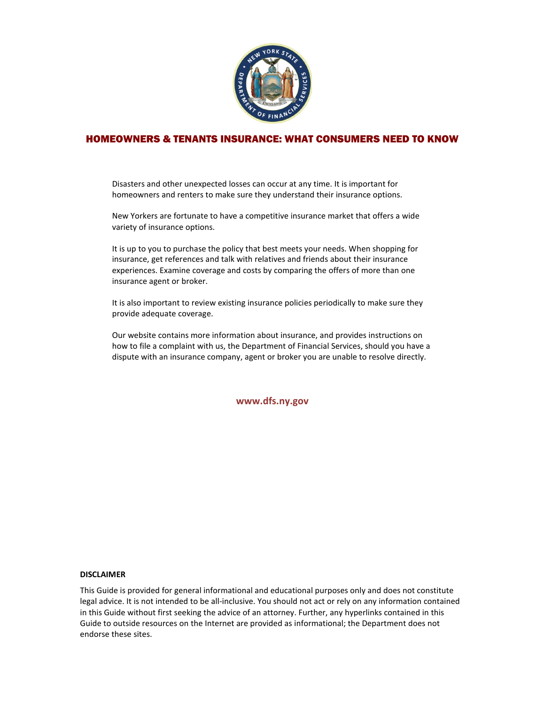

# HOMEOWNERS & TENANTS INSURANCE: WHAT CONSUMERS NEED TO KNOW

Disasters and other unexpected losses can occur at any time. It is important for homeowners and renters to make sure they understand their insurance options.

New Yorkers are fortunate to have a competitive insurance market that offers a wide variety of insurance options.

It is up to you to purchase the policy that best meets your needs. When shopping for insurance, get references and talk with relatives and friends about their insurance experiences. Examine coverage and costs by comparing the offers of more than one insurance agent or broker.

It is also important to review existing insurance policies periodically to make sure they provide adequate coverage.

Our website contains more information about insurance, and provides instructions on how to file a complaint with us, the Department of Financial Services, should you have a dispute with an insurance company, agent or broker you are unable to resolve directly.

**www.dfs.ny.gov**

#### **DISCLAIMER**

This Guide is provided for general informational and educational purposes only and does not constitute legal advice. It is not intended to be all-inclusive. You should not act or rely on any information contained in this Guide without first seeking the advice of an attorney. Further, any hyperlinks contained in this Guide to outside resources on the Internet are provided as informational; the Department does not endorse these sites.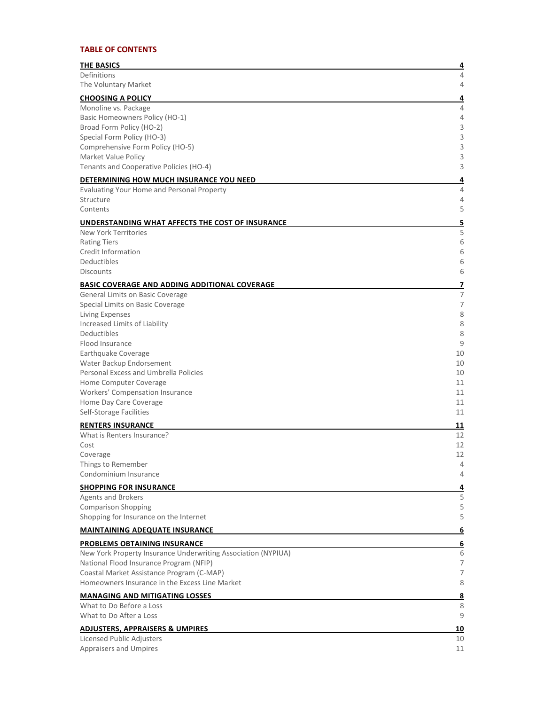## **TABLE OF CONTENTS**

| <b>THE BASICS</b>                                             | 4              |
|---------------------------------------------------------------|----------------|
| Definitions                                                   | 4              |
| The Voluntary Market                                          | 4              |
| <b>CHOOSING A POLICY</b>                                      | 4              |
| Monoline vs. Package                                          | 4              |
| Basic Homeowners Policy (HO-1)<br>Broad Form Policy (HO-2)    | 4<br>3         |
| Special Form Policy (HO-3)                                    | 3              |
| Comprehensive Form Policy (HO-5)                              | 3              |
| Market Value Policy                                           | 3              |
| Tenants and Cooperative Policies (HO-4)                       | 3              |
| DETERMINING HOW MUCH INSURANCE YOU NEED                       | 4              |
| Evaluating Your Home and Personal Property                    | 4              |
| Structure                                                     | 4              |
| Contents                                                      | 5              |
| <u>UNDERSTANDING WHAT AFFECTS THE COST OF INSURANCE</u>       | 5              |
| New York Territories<br><b>Rating Tiers</b>                   | 5<br>6         |
| Credit Information                                            | 6              |
| Deductibles                                                   | 6              |
| <b>Discounts</b>                                              | 6              |
| <b>BASIC COVERAGE AND ADDING ADDITIONAL COVERAGE</b>          | 7              |
| General Limits on Basic Coverage                              | 7              |
| Special Limits on Basic Coverage                              | $\overline{7}$ |
| Living Expenses                                               | 8              |
| Increased Limits of Liability<br>Deductibles                  | 8<br>8         |
| Flood Insurance                                               | 9              |
| Earthquake Coverage                                           | 10             |
| Water Backup Endorsement                                      | 10             |
| Personal Excess and Umbrella Policies                         | 10             |
| Home Computer Coverage                                        | 11             |
| Workers' Compensation Insurance<br>Home Day Care Coverage     | 11<br>11       |
| Self-Storage Facilities                                       | 11             |
| <b>RENTERS INSURANCE</b>                                      | 11             |
| What is Renters Insurance?                                    | 12             |
| Cost                                                          | 12             |
| Coverage                                                      | 12             |
| Things to Remember                                            | 4              |
| Condominium Insurance                                         | 4              |
| <b>SHOPPING FOR INSURANCE</b>                                 | 4              |
| <b>Agents and Brokers</b><br><b>Comparison Shopping</b>       | 5<br>5         |
| Shopping for Insurance on the Internet                        | 5              |
| <b>MAINTAINING ADEQUATE INSURANCE</b>                         | 6              |
| <b>PROBLEMS OBTAINING INSURANCE</b>                           | 6              |
| New York Property Insurance Underwriting Association (NYPIUA) | 6              |
| National Flood Insurance Program (NFIP)                       | 7              |
| Coastal Market Assistance Program (C-MAP)                     | 7              |
| Homeowners Insurance in the Excess Line Market                | 8              |
| <b>MANAGING AND MITIGATING LOSSES</b>                         | <u>8</u>       |
| What to Do Before a Loss                                      | 8              |
| What to Do After a Loss                                       | 9              |
| <b>ADJUSTERS, APPRAISERS &amp; UMPIRES</b>                    | 10             |
| Licensed Public Adjusters                                     | 10             |
| Appraisers and Umpires                                        | 11             |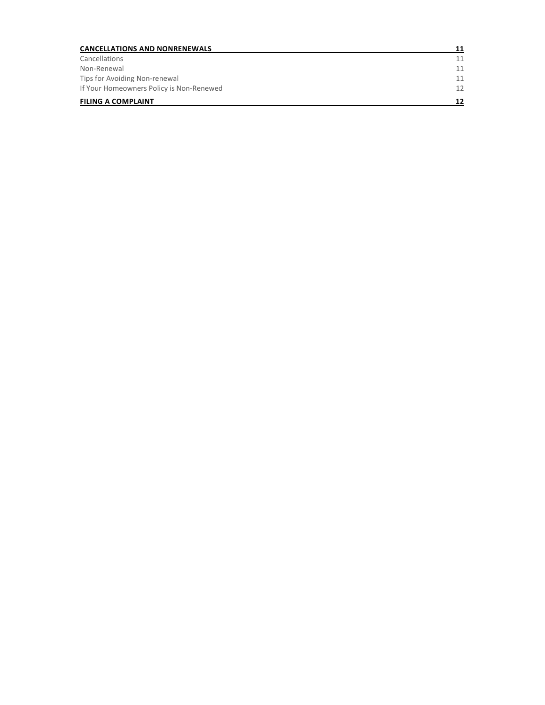| <b>CANCELLATIONS AND NONRENEWALS</b>     | 11 |
|------------------------------------------|----|
| Cancellations                            | 11 |
| Non-Renewal                              | 11 |
| Tips for Avoiding Non-renewal            | 11 |
| If Your Homeowners Policy is Non-Renewed | 12 |
| <b>FILING A COMPLAINT</b>                | 12 |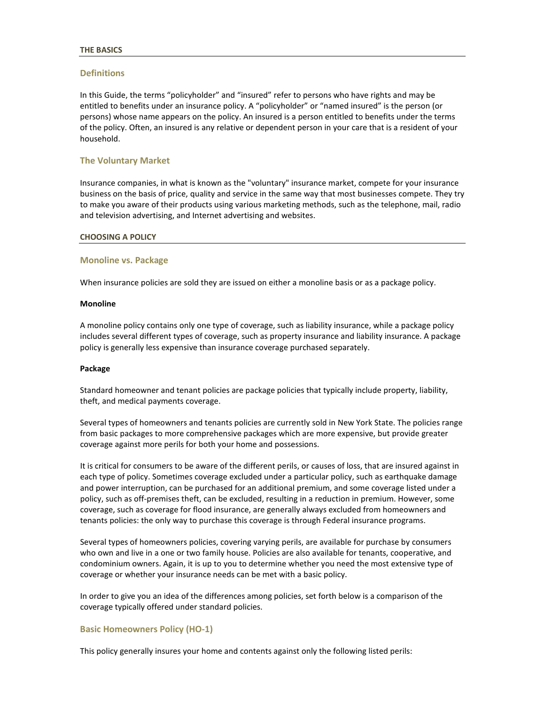#### <span id="page-3-0"></span>**THE BASICS**

### <span id="page-3-1"></span>**Definitions**

In this Guide, the terms "policyholder" and "insured" refer to persons who have rights and may be entitled to benefits under an insurance policy. A "policyholder" or "named insured" is the person (or persons) whose name appears on the policy. An insured is a person entitled to benefits under the terms of the policy. Often, an insured is any relative or dependent person in your care that is a resident of your household.

### <span id="page-3-2"></span>**The Voluntary Market**

Insurance companies, in what is known as the "voluntary" insurance market, compete for your insurance business on the basis of price, quality and service in the same way that most businesses compete. They try to make you aware of their products using various marketing methods, such as the telephone, mail, radio and television advertising, and Internet advertising and websites.

#### <span id="page-3-3"></span>**CHOOSING A POLICY**

#### <span id="page-3-4"></span>**Monoline vs. Package**

When insurance policies are sold they are issued on either a monoline basis or as a package policy.

#### **Monoline**

A monoline policy contains only one type of coverage, such as liability insurance, while a package policy includes several different types of coverage, such as property insurance and liability insurance. A package policy is generally less expensive than insurance coverage purchased separately.

#### **Package**

Standard homeowner and tenant policies are package policies that typically include property, liability, theft, and medical payments coverage.

Several types of homeowners and tenants policies are currently sold in New York State. The policies range from basic packages to more comprehensive packages which are more expensive, but provide greater coverage against more perils for both your home and possessions.

It is critical for consumers to be aware of the different perils, or causes of loss, that are insured against in each type of policy. Sometimes coverage excluded under a particular policy, such as earthquake damage and power interruption, can be purchased for an additional premium, and some coverage listed under a policy, such as off-premises theft, can be excluded, resulting in a reduction in premium. However, some coverage, such as coverage for flood insurance, are generally always excluded from homeowners and tenants policies: the only way to purchase this coverage is through Federal insurance programs.

Several types of homeowners policies, covering varying perils, are available for purchase by consumers who own and live in a one or two family house. Policies are also available for tenants, cooperative, and condominium owners. Again, it is up to you to determine whether you need the most extensive type of coverage or whether your insurance needs can be met with a basic policy.

In order to give you an idea of the differences among policies, set forth below is a comparison of the coverage typically offered under standard policies.

### <span id="page-3-5"></span>**Basic Homeowners Policy (HO-1)**

This policy generally insures your home and contents against only the following listed perils: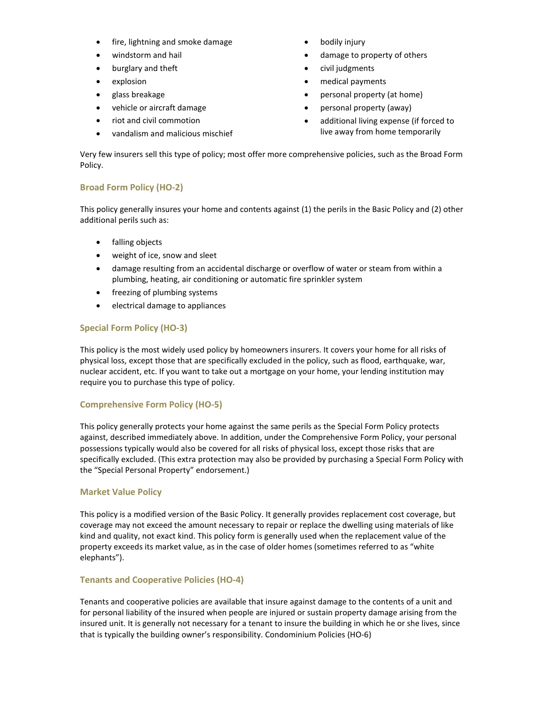- fire, lightning and smoke damage
- windstorm and hail
- burglary and theft
- explosion
- glass breakage
- vehicle or aircraft damage
- riot and civil commotion
- vandalism and malicious mischief
- bodily injury
- damage to property of others
- civil judgments
- medical payments
- personal property (at home)
- personal property (away)
- additional living expense (if forced to live away from home temporarily

Very few insurers sell this type of policy; most offer more comprehensive policies, such as the Broad Form Policy.

## <span id="page-4-0"></span>**Broad Form Policy (HO-2)**

This policy generally insures your home and contents against (1) the perils in the Basic Policy and (2) other additional perils such as:

- falling objects
- weight of ice, snow and sleet
- damage resulting from an accidental discharge or overflow of water or steam from within a plumbing, heating, air conditioning or automatic fire sprinkler system
- freezing of plumbing systems
- electrical damage to appliances

## <span id="page-4-1"></span>**Special Form Policy (HO-3)**

This policy is the most widely used policy by homeowners insurers. It covers your home for all risks of physical loss, except those that are specifically excluded in the policy, such as flood, earthquake, war, nuclear accident, etc. If you want to take out a mortgage on your home, your lending institution may require you to purchase this type of policy.

## <span id="page-4-2"></span>**Comprehensive Form Policy (HO-5)**

This policy generally protects your home against the same perils as the Special Form Policy protects against, described immediately above. In addition, under the Comprehensive Form Policy, your personal possessions typically would also be covered for all risks of physical loss, except those risks that are specifically excluded. (This extra protection may also be provided by purchasing a Special Form Policy with the "Special Personal Property" endorsement.)

## <span id="page-4-3"></span>**Market Value Policy**

This policy is a modified version of the Basic Policy. It generally provides replacement cost coverage, but coverage may not exceed the amount necessary to repair or replace the dwelling using materials of like kind and quality, not exact kind. This policy form is generally used when the replacement value of the property exceeds its market value, as in the case of older homes (sometimes referred to as "white elephants").

## <span id="page-4-4"></span>**Tenants and Cooperative Policies (HO-4)**

Tenants and cooperative policies are available that insure against damage to the contents of a unit and for personal liability of the insured when people are injured or sustain property damage arising from the insured unit. It is generally not necessary for a tenant to insure the building in which he or she lives, since that is typically the building owner's responsibility. Condominium Policies (HO-6)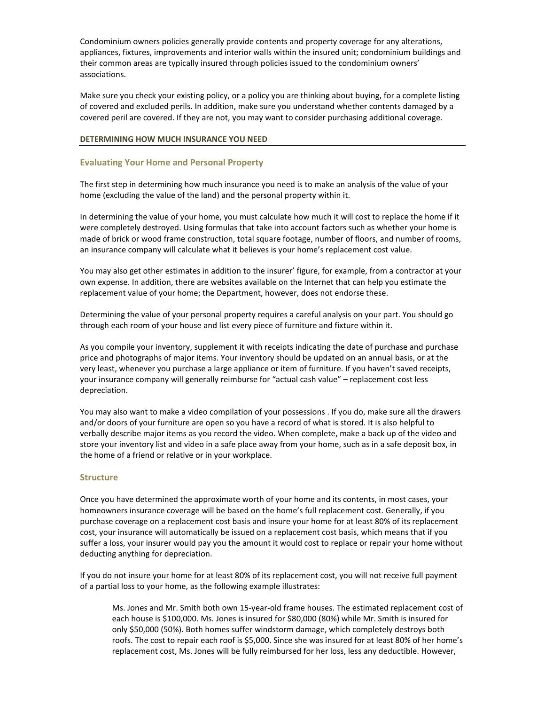Condominium owners policies generally provide contents and property coverage for any alterations, appliances, fixtures, improvements and interior walls within the insured unit; condominium buildings and their common areas are typically insured through policies issued to the condominium owners' associations.

Make sure you check your existing policy, or a policy you are thinking about buying, for a complete listing of covered and excluded perils. In addition, make sure you understand whether contents damaged by a covered peril are covered. If they are not, you may want to consider purchasing additional coverage.

### <span id="page-5-0"></span>**DETERMINING HOW MUCH INSURANCE YOU NEED**

## <span id="page-5-1"></span>**Evaluating Your Home and Personal Property**

The first step in determining how much insurance you need is to make an analysis of the value of your home (excluding the value of the land) and the personal property within it.

In determining the value of your home, you must calculate how much it will cost to replace the home if it were completely destroyed. Using formulas that take into account factors such as whether your home is made of brick or wood frame construction, total square footage, number of floors, and number of rooms, an insurance company will calculate what it believes is your home's replacement cost value.

You may also get other estimates in addition to the insurer' figure, for example, from a contractor at your own expense. In addition, there are websites available on the Internet that can help you estimate the replacement value of your home; the Department, however, does not endorse these.

Determining the value of your personal property requires a careful analysis on your part. You should go through each room of your house and list every piece of furniture and fixture within it.

As you compile your inventory, supplement it with receipts indicating the date of purchase and purchase price and photographs of major items. Your inventory should be updated on an annual basis, or at the very least, whenever you purchase a large appliance or item of furniture. If you haven't saved receipts, your insurance company will generally reimburse for "actual cash value" – replacement cost less depreciation.

You may also want to make a video compilation of your possessions . If you do, make sure all the drawers and/or doors of your furniture are open so you have a record of what is stored. It is also helpful to verbally describe major items as you record the video. When complete, make a back up of the video and store your inventory list and video in a safe place away from your home, such as in a safe deposit box, in the home of a friend or relative or in your workplace.

### <span id="page-5-2"></span>**Structure**

Once you have determined the approximate worth of your home and its contents, in most cases, your homeowners insurance coverage will be based on the home's full replacement cost. Generally, if you purchase coverage on a replacement cost basis and insure your home for at least 80% of its replacement cost, your insurance will automatically be issued on a replacement cost basis, which means that if you suffer a loss, your insurer would pay you the amount it would cost to replace or repair your home without deducting anything for depreciation.

If you do not insure your home for at least 80% of its replacement cost, you will not receive full payment of a partial loss to your home, as the following example illustrates:

Ms. Jones and Mr. Smith both own 15-year-old frame houses. The estimated replacement cost of each house is \$100,000. Ms. Jones is insured for \$80,000 (80%) while Mr. Smith is insured for only \$50,000 (50%). Both homes suffer windstorm damage, which completely destroys both roofs. The cost to repair each roof is \$5,000. Since she was insured for at least 80% of her home's replacement cost, Ms. Jones will be fully reimbursed for her loss, less any deductible. However,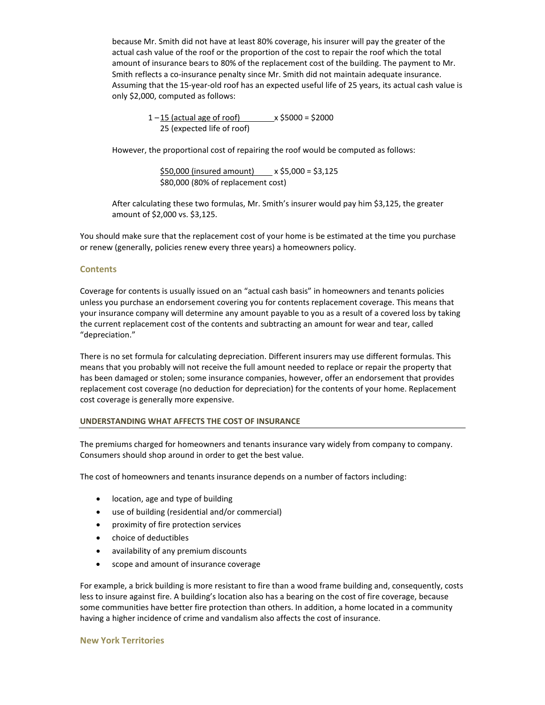because Mr. Smith did not have at least 80% coverage, his insurer will pay the greater of the actual cash value of the roof or the proportion of the cost to repair the roof which the total amount of insurance bears to 80% of the replacement cost of the building. The payment to Mr. Smith reflects a co-insurance penalty since Mr. Smith did not maintain adequate insurance. Assuming that the 15-year-old roof has an expected useful life of 25 years, its actual cash value is only \$2,000, computed as follows:

> $1 - 15$  (actual age of roof)  $x$ \$5000 = \$2000 25 (expected life of roof)

However, the proportional cost of repairing the roof would be computed as follows:

\$50,000 (insured amount) x \$5,000 = \$3,125 \$80,000 (80% of replacement cost)

After calculating these two formulas, Mr. Smith's insurer would pay him \$3,125, the greater amount of \$2,000 vs. \$3,125.

You should make sure that the replacement cost of your home is be estimated at the time you purchase or renew (generally, policies renew every three years) a homeowners policy.

### <span id="page-6-0"></span>**Contents**

Coverage for contents is usually issued on an "actual cash basis" in homeowners and tenants policies unless you purchase an endorsement covering you for contents replacement coverage. This means that your insurance company will determine any amount payable to you as a result of a covered loss by taking the current replacement cost of the contents and subtracting an amount for wear and tear, called "depreciation."

There is no set formula for calculating depreciation. Different insurers may use different formulas. This means that you probably will not receive the full amount needed to replace or repair the property that has been damaged or stolen; some insurance companies, however, offer an endorsement that provides replacement cost coverage (no deduction for depreciation) for the contents of your home. Replacement cost coverage is generally more expensive.

### <span id="page-6-1"></span>**UNDERSTANDING WHAT AFFECTS THE COST OF INSURANCE**

The premiums charged for homeowners and tenants insurance vary widely from company to company. Consumers should shop around in order to get the best value.

The cost of homeowners and tenants insurance depends on a number of factors including:

- location, age and type of building
- use of building (residential and/or commercial)
- proximity of fire protection services
- choice of deductibles
- availability of any premium discounts
- scope and amount of insurance coverage

For example, a brick building is more resistant to fire than a wood frame building and, consequently, costs less to insure against fire. A building's location also has a bearing on the cost of fire coverage, because some communities have better fire protection than others. In addition, a home located in a community having a higher incidence of crime and vandalism also affects the cost of insurance.

#### <span id="page-6-2"></span>**New York Territories**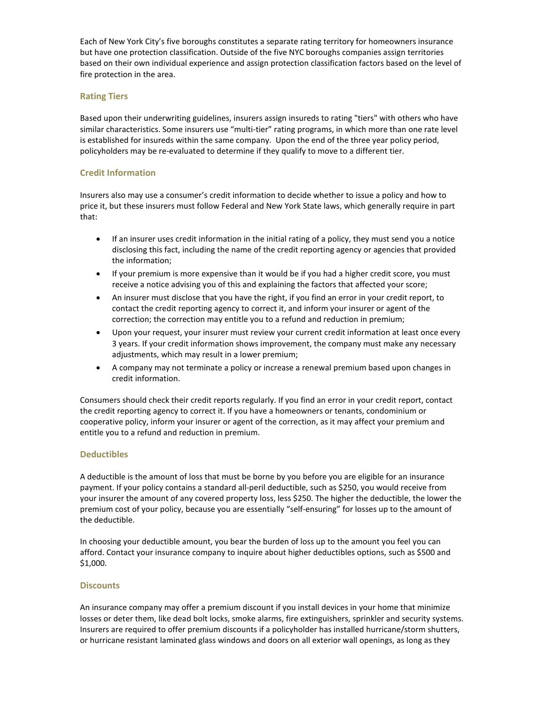Each of New York City's five boroughs constitutes a separate rating territory for homeowners insurance but have one protection classification. Outside of the five NYC boroughs companies assign territories based on their own individual experience and assign protection classification factors based on the level of fire protection in the area.

## <span id="page-7-0"></span>**Rating Tiers**

Based upon their underwriting guidelines, insurers assign insureds to rating "tiers" with others who have similar characteristics. Some insurers use "multi-tier" rating programs, in which more than one rate level is established for insureds within the same company. Upon the end of the three year policy period, policyholders may be re-evaluated to determine if they qualify to move to a different tier.

## <span id="page-7-1"></span>**Credit Information**

Insurers also may use a consumer's credit information to decide whether to issue a policy and how to price it, but these insurers must follow Federal and New York State laws, which generally require in part that:

- If an insurer uses credit information in the initial rating of a policy, they must send you a notice disclosing this fact, including the name of the credit reporting agency or agencies that provided the information;
- If your premium is more expensive than it would be if you had a higher credit score, you must receive a notice advising you of this and explaining the factors that affected your score;
- An insurer must disclose that you have the right, if you find an error in your credit report, to contact the credit reporting agency to correct it, and inform your insurer or agent of the correction; the correction may entitle you to a refund and reduction in premium;
- Upon your request, your insurer must review your current credit information at least once every 3 years. If your credit information shows improvement, the company must make any necessary adjustments, which may result in a lower premium;
- A company may not terminate a policy or increase a renewal premium based upon changes in credit information.

Consumers should check their credit reports regularly. If you find an error in your credit report, contact the credit reporting agency to correct it. If you have a homeowners or tenants, condominium or cooperative policy, inform your insurer or agent of the correction, as it may affect your premium and entitle you to a refund and reduction in premium.

## <span id="page-7-2"></span>**Deductibles**

A deductible is the amount of loss that must be borne by you before you are eligible for an insurance payment. If your policy contains a standard all-peril deductible, such as \$250, you would receive from your insurer the amount of any covered property loss, less \$250. The higher the deductible, the lower the premium cost of your policy, because you are essentially "self-ensuring" for losses up to the amount of the deductible.

In choosing your deductible amount, you bear the burden of loss up to the amount you feel you can afford. Contact your insurance company to inquire about higher deductibles options, such as \$500 and \$1,000.

## <span id="page-7-3"></span>**Discounts**

An insurance company may offer a premium discount if you install devices in your home that minimize losses or deter them, like dead bolt locks, smoke alarms, fire extinguishers, sprinkler and security systems. Insurers are required to offer premium discounts if a policyholder has installed hurricane/storm shutters, or hurricane resistant laminated glass windows and doors on all exterior wall openings, as long as they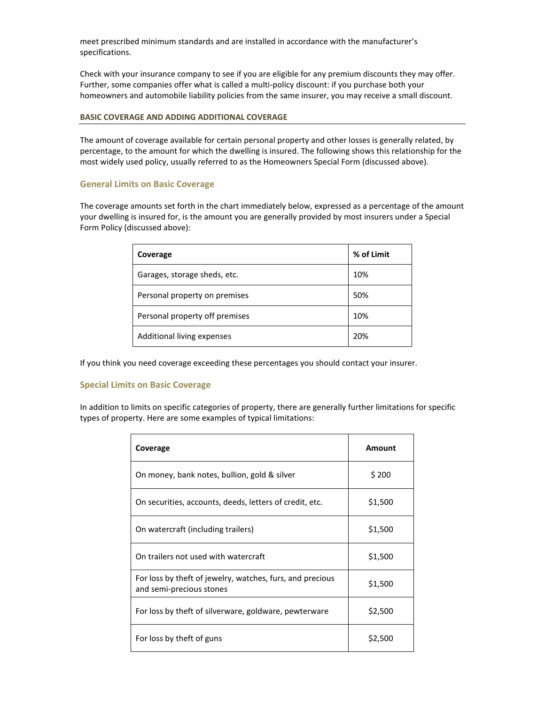meet prescribed minimum standards and are installed in accordance with the manufacturer's specifications.

Check with your insurance company to see if you are eligible for any premium discounts they may offer. Further, some companies offer what is called a multi-policy discount: if you purchase both your homeowners and automobile liability policies from the same insurer, you may receive a small discount.

### <span id="page-8-0"></span>**BASIC COVERAGE AND ADDING ADDITIONAL COVERAGE**

The amount of coverage available for certain personal property and other losses is generally related, by percentage, to the amount for which the dwelling is insured. The following shows this relationship for the most widely used policy, usually referred to as the Homeowners Special Form (discussed above).

## <span id="page-8-1"></span>**General Limits on Basic Coverage**

The coverage amounts set forth in the chart immediately below, expressed as a percentage of the amount your dwelling is insured for, is the amount you are generally provided by most insurers under a Special Form Policy (discussed above):

| Coverage                       | % of Limit |
|--------------------------------|------------|
| Garages, storage sheds, etc.   | 10%        |
| Personal property on premises  | 50%        |
| Personal property off premises | 10%        |
| Additional living expenses     | 20%        |

If you think you need coverage exceeding these percentages you should contact your insurer.

## <span id="page-8-2"></span>**Special Limits on Basic Coverage**

In addition to limits on specific categories of property, there are generally further limitations for specific types of property. Here are some examples of typical limitations:

| Coverage                                                                              | Amount  |
|---------------------------------------------------------------------------------------|---------|
| On money, bank notes, bullion, gold & silver                                          | \$200   |
| On securities, accounts, deeds, letters of credit, etc.                               | \$1,500 |
| On watercraft (including trailers)                                                    | \$1,500 |
| On trailers not used with watercraft                                                  | \$1,500 |
| For loss by theft of jewelry, watches, furs, and precious<br>and semi-precious stones | \$1,500 |
| For loss by theft of silverware, goldware, pewterware                                 | \$2,500 |
| For loss by theft of guns                                                             | \$2.500 |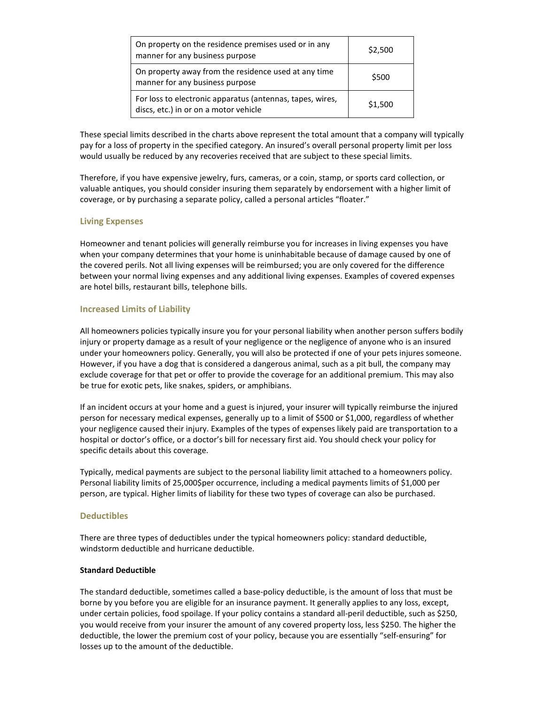| On property on the residence premises used or in any<br>manner for any business purpose            | \$2,500 |
|----------------------------------------------------------------------------------------------------|---------|
| On property away from the residence used at any time<br>manner for any business purpose            | \$500   |
| For loss to electronic apparatus (antennas, tapes, wires,<br>discs, etc.) in or on a motor vehicle | \$1,500 |

These special limits described in the charts above represent the total amount that a company will typically pay for a loss of property in the specified category. An insured's overall personal property limit per loss would usually be reduced by any recoveries received that are subject to these special limits.

Therefore, if you have expensive jewelry, furs, cameras, or a coin, stamp, or sports card collection, or valuable antiques, you should consider insuring them separately by endorsement with a higher limit of coverage, or by purchasing a separate policy, called a personal articles "floater."

### <span id="page-9-0"></span>**Living Expenses**

Homeowner and tenant policies will generally reimburse you for increases in living expenses you have when your company determines that your home is uninhabitable because of damage caused by one of the covered perils. Not all living expenses will be reimbursed; you are only covered for the difference between your normal living expenses and any additional living expenses. Examples of covered expenses are hotel bills, restaurant bills, telephone bills.

### <span id="page-9-1"></span>**Increased Limits of Liability**

All homeowners policies typically insure you for your personal liability when another person suffers bodily injury or property damage as a result of your negligence or the negligence of anyone who is an insured under your homeowners policy. Generally, you will also be protected if one of your pets injures someone. However, if you have a dog that is considered a dangerous animal, such as a pit bull, the company may exclude coverage for that pet or offer to provide the coverage for an additional premium. This may also be true for exotic pets, like snakes, spiders, or amphibians.

If an incident occurs at your home and a guest is injured, your insurer will typically reimburse the injured person for necessary medical expenses, generally up to a limit of \$500 or \$1,000, regardless of whether your negligence caused their injury. Examples of the types of expenses likely paid are transportation to a hospital or doctor's office, or a doctor's bill for necessary first aid. You should check your policy for specific details about this coverage.

Typically, medical payments are subject to the personal liability limit attached to a homeowners policy. Personal liability limits of 25,000\$per occurrence, including a medical payments limits of \$1,000 per person, are typical. Higher limits of liability for these two types of coverage can also be purchased.

### <span id="page-9-2"></span>**Deductibles**

There are three types of deductibles under the typical homeowners policy: standard deductible, windstorm deductible and hurricane deductible.

### **Standard Deductible**

The standard deductible, sometimes called a base-policy deductible, is the amount of loss that must be borne by you before you are eligible for an insurance payment. It generally applies to any loss, except, under certain policies, food spoilage. If your policy contains a standard all-peril deductible, such as \$250, you would receive from your insurer the amount of any covered property loss, less \$250. The higher the deductible, the lower the premium cost of your policy, because you are essentially "self-ensuring" for losses up to the amount of the deductible.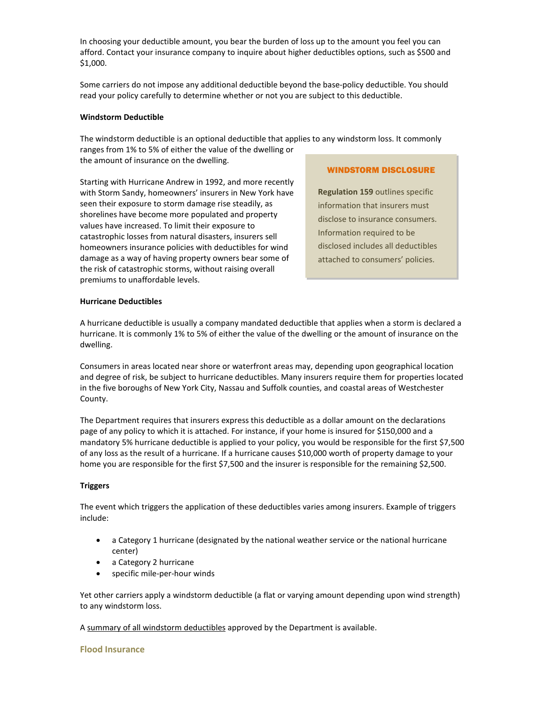In choosing your deductible amount, you bear the burden of loss up to the amount you feel you can afford. Contact your insurance company to inquire about higher deductibles options, such as \$500 and \$1,000.

Some carriers do not impose any additional deductible beyond the base-policy deductible. You should read your policy carefully to determine whether or not you are subject to this deductible.

### **Windstorm Deductible**

The windstorm deductible is an optional deductible that applies to any windstorm loss. It commonly ranges from 1% to 5% of either the value of the dwelling or

the amount of insurance on the dwelling.

Starting with Hurricane Andrew in 1992, and more recently with Storm Sandy, homeowners' insurers in New York have seen their exposure to storm damage rise steadily, as shorelines have become more populated and property values have increased. To limit their exposure to catastrophic losses from natural disasters, insurers sell homeowners insurance policies with deductibles for wind damage as a way of having property owners bear some of the risk of catastrophic storms, without raising overall premiums to unaffordable levels.

### WINDSTORM DISCLOSURE

**[Regulation 159](http://www.dfs.ny.gov/insurance/r_finala/1999/reg159f.htm)** outlines specific information that insurers must disclose to insurance consumers. Information required to be disclosed includes all deductibles attached to consumers' policies.

### **Hurricane Deductibles**

A hurricane deductible is usually a company mandated deductible that applies when a storm is declared a hurricane. It is commonly 1% to 5% of either the value of the dwelling or the amount of insurance on the dwelling.

Consumers in areas located near shore or waterfront areas may, depending upon geographical location and degree of risk, be subject to hurricane deductibles. Many insurers require them for properties located in the five boroughs of New York City, Nassau and Suffolk counties, and coastal areas of Westchester County.

The Department requires that insurers express this deductible as a dollar amount on the declarations page of any policy to which it is attached. For instance, if your home is insured for \$150,000 and a mandatory 5% hurricane deductible is applied to your policy, you would be responsible for the first \$7,500 of any loss as the result of a hurricane. If a hurricane causes \$10,000 worth of property damage to your home you are responsible for the first \$7,500 and the insurer is responsible for the remaining \$2,500.

### **Triggers**

The event which triggers the application of these deductibles varies among insurers. Example of triggers include:

- a Category 1 hurricane (designated by the national weather service or the national hurricane center)
- a Category 2 hurricane
- specific mile-per-hour winds

Yet other carriers apply a windstorm deductible (a flat or varying amount depending upon wind strength) to any windstorm loss.

A [summary of all windstorm deductibles](http://www.dfs.ny.gov/consumer/homeown/awindded.pdf) approved by the Department is available.

### <span id="page-10-0"></span>**Flood Insurance**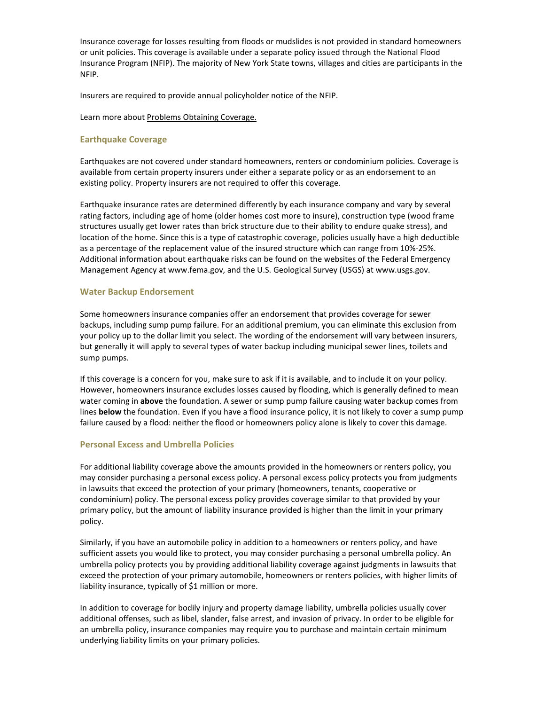Insurance coverage for losses resulting from floods or mudslides is not provided in standard homeowners or unit policies. This coverage is available under a separate policy issued through the National Flood Insurance Program (NFIP). The majority of New York State towns, villages and cities are participants in the NFIP.

Insurers are required to provide annual policyholder notice of the NFIP.

Learn more about Problems Obtaining Coverage.

## <span id="page-11-0"></span>**Earthquake Coverage**

Earthquakes are not covered under standard homeowners, renters or condominium policies. Coverage is available from certain property insurers under either a separate policy or as an endorsement to an existing policy. Property insurers are not required to offer this coverage.

Earthquake insurance rates are determined differently by each insurance company and vary by several rating factors, including age of home (older homes cost more to insure), construction type (wood frame structures usually get lower rates than brick structure due to their ability to endure quake stress), and location of the home. Since this is a type of catastrophic coverage, policies usually have a high deductible as a percentage of the replacement value of the insured structure which can range from 10%-25%. Additional information about earthquake risks can be found on the websites of the Federal Emergency Management Agency at www.fema.gov, and the U.S. Geological Survey (USGS) at www.usgs.gov.

## <span id="page-11-1"></span>**Water Backup Endorsement**

Some homeowners insurance companies offer an endorsement that provides coverage for sewer backups, including sump pump failure. For an additional premium, you can eliminate this exclusion from your policy up to the dollar limit you select. The wording of the endorsement will vary between insurers, but generally it will apply to several types of water backup including municipal sewer lines, toilets and sump pumps.

If this coverage is a concern for you, make sure to ask if it is available, and to include it on your policy. However, homeowners insurance excludes losses caused by flooding, which is generally defined to mean water coming in **above** the foundation. A sewer or sump pump failure causing water backup comes from lines **below** the foundation. Even if you have a flood insurance policy, it is not likely to cover a sump pump failure caused by a flood: neither the flood or homeowners policy alone is likely to cover this damage.

### <span id="page-11-2"></span>**Personal Excess and Umbrella Policies**

For additional liability coverage above the amounts provided in the homeowners or renters policy, you may consider purchasing a personal excess policy. A personal excess policy protects you from judgments in lawsuits that exceed the protection of your primary (homeowners, tenants, cooperative or condominium) policy. The personal excess policy provides coverage similar to that provided by your primary policy, but the amount of liability insurance provided is higher than the limit in your primary policy.

Similarly, if you have an automobile policy in addition to a homeowners or renters policy, and have sufficient assets you would like to protect, you may consider purchasing a personal umbrella policy. An umbrella policy protects you by providing additional liability coverage against judgments in lawsuits that exceed the protection of your primary automobile, homeowners or renters policies, with higher limits of liability insurance, typically of \$1 million or more.

In addition to coverage for bodily injury and property damage liability, umbrella policies usually cover additional offenses, such as libel, slander, false arrest, and invasion of privacy. In order to be eligible for an umbrella policy, insurance companies may require you to purchase and maintain certain minimum underlying liability limits on your primary policies.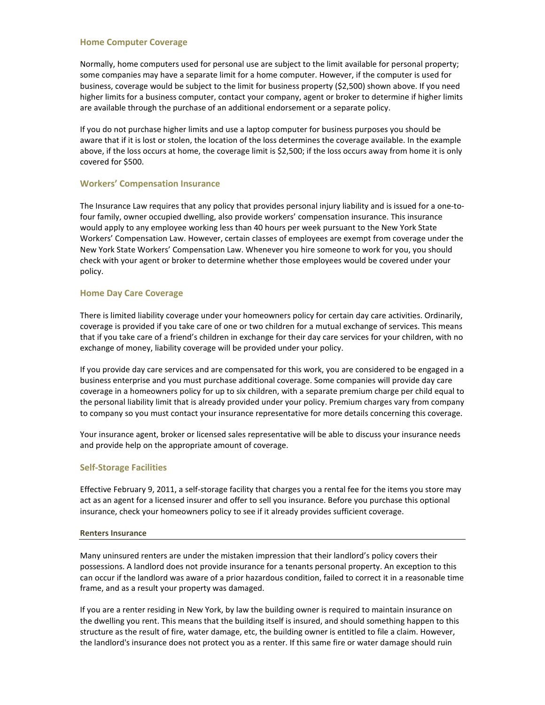### <span id="page-12-0"></span>**Home Computer Coverage**

Normally, home computers used for personal use are subject to the limit available for personal property; some companies may have a separate limit for a home computer. However, if the computer is used for business, coverage would be subject to the limit for business property (\$2,500) shown above. If you need higher limits for a business computer, contact your company, agent or broker to determine if higher limits are available through the purchase of an additional endorsement or a separate policy.

If you do not purchase higher limits and use a laptop computer for business purposes you should be aware that if it is lost or stolen, the location of the loss determines the coverage available. In the example above, if the loss occurs at home, the coverage limit is \$2,500; if the loss occurs away from home it is only covered for \$500.

## <span id="page-12-1"></span>**Workers' Compensation Insurance**

The Insurance Law requires that any policy that provides personal injury liability and is issued for a one-tofour family, owner occupied dwelling, also provide workers' compensation insurance. This insurance would apply to any employee working less than 40 hours per week pursuant to the New York State Workers' Compensation Law. However, certain classes of employees are exempt from coverage under the New York State Workers' Compensation Law. Whenever you hire someone to work for you, you should check with your agent or broker to determine whether those employees would be covered under your policy.

## <span id="page-12-2"></span>**Home Day Care Coverage**

There is limited liability coverage under your homeowners policy for certain day care activities. Ordinarily, coverage is provided if you take care of one or two children for a mutual exchange of services. This means that if you take care of a friend's children in exchange for their day care services for your children, with no exchange of money, liability coverage will be provided under your policy.

If you provide day care services and are compensated for this work, you are considered to be engaged in a business enterprise and you must purchase additional coverage. Some companies will provide day care coverage in a homeowners policy for up to six children, with a separate premium charge per child equal to the personal liability limit that is already provided under your policy. Premium charges vary from company to company so you must contact your insurance representative for more details concerning this coverage.

Your insurance agent, broker or licensed sales representative will be able to discuss your insurance needs and provide help on the appropriate amount of coverage.

## <span id="page-12-3"></span>**Self-Storage Facilities**

Effective February 9, 2011, a self-storage facility that charges you a rental fee for the items you store may act as an agent for a licensed insurer and offer to sell you insurance. Before you purchase this optional insurance, check your homeowners policy to see if it already provides sufficient coverage.

### <span id="page-12-4"></span>**Renters Insurance**

Many uninsured renters are under the mistaken impression that their landlord's policy covers their possessions. A landlord does not provide insurance for a tenants personal property. An exception to this can occur if the landlord was aware of a prior hazardous condition, failed to correct it in a reasonable time frame, and as a result your property was damaged.

If you are a renter residing in New York, by law the building owner is required to maintain insurance on the dwelling you rent. This means that the building itself is insured, and should something happen to this structure as the result of fire, water damage, etc, the building owner is entitled to file a claim. However, the landlord's insurance does not protect you as a renter. If this same fire or water damage should ruin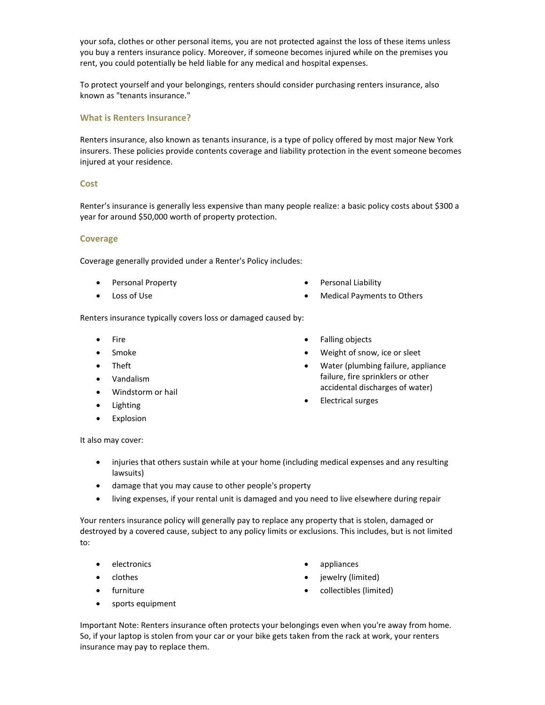your sofa, clothes or other personal items, you are not protected against the loss of these items unless you buy a renters insurance policy. Moreover, if someone becomes injured while on the premises you rent, you could potentially be held liable for any medical and hospital expenses.

To protect yourself and your belongings, renters should consider purchasing renters insurance, also known as "tenants insurance."

### <span id="page-13-0"></span>**What is Renters Insurance?**

Renters insurance, also known as tenants insurance, is a type of policy offered by most major New York insurers. These policies provide contents coverage and liability protection in the event someone becomes injured at your residence.

### <span id="page-13-1"></span>**Cost**

Renter's insurance is generally less expensive than many people realize: a basic policy costs about \$300 a year for around \$50,000 worth of property protection.

### <span id="page-13-2"></span>**Coverage**

Coverage generally provided under a Renter's Policy includes:

- Personal Property
- Loss of Use
- Personal Liability
- Medical Payments to Others

Renters insurance typically covers loss or damaged caused by:

- Fire
- Smoke
- Theft
- Vandalism
- Windstorm or hail
- Lighting
- Explosion
- Falling objects
- Weight of snow, ice or sleet
- Water (plumbing failure, appliance failure, fire sprinklers or other accidental discharges of water)
- Electrical surges

It also may cover:

- injuries that others sustain while at your home (including medical expenses and any resulting lawsuits)
- damage that you may cause to other people's property
- living expenses, if your rental unit is damaged and you need to live elsewhere during repair

Your renters insurance policy will generally pay to replace any property that is stolen, damaged or destroyed by a covered cause, subject to any policy limits or exclusions. This includes, but is not limited to:

- electronics
- clothes
- furniture
- sports equipment
- appliances
- jewelry (limited)
- collectibles (limited)

Important Note: Renters insurance often protects your belongings even when you're away from home. So, if your laptop is stolen from your car or your bike gets taken from the rack at work, your renters insurance may pay to replace them.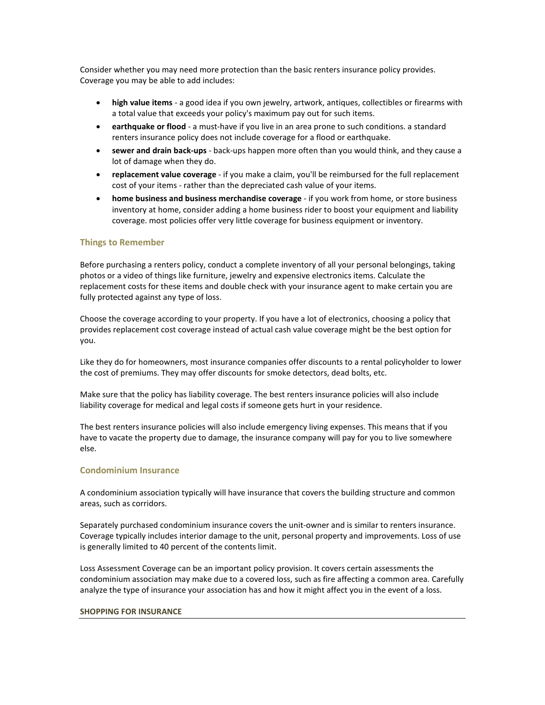Consider whether you may need more protection than the basic renters insurance policy provides. Coverage you may be able to add includes:

- **high value items**  a good idea if you own jewelry, artwork, antiques, collectibles or firearms with a total value that exceeds your policy's maximum pay out for such items.
- **earthquake or flood**  a must-have if you live in an area prone to such conditions. a standard renters insurance policy does not include coverage for a flood or earthquake.
- **sewer and drain back-ups** back-ups happen more often than you would think, and they cause a lot of damage when they do.
- **replacement value coverage** if you make a claim, you'll be reimbursed for the full replacement cost of your items - rather than the depreciated cash value of your items.
- **home business and business merchandise coverage** if you work from home, or store business inventory at home, consider adding a home business rider to boost your equipment and liability coverage. most policies offer very little coverage for business equipment or inventory.

### <span id="page-14-0"></span>**Things to Remember**

Before purchasing a renters policy, conduct a complete inventory of all your personal belongings, taking photos or a video of things like furniture, jewelry and expensive electronics items. Calculate the replacement costs for these items and double check with your insurance agent to make certain you are fully protected against any type of loss.

Choose the coverage according to your property. If you have a lot of electronics, choosing a policy that provides replacement cost coverage instead of actual cash value coverage might be the best option for you.

Like they do for homeowners, most insurance companies offer discounts to a rental policyholder to lower the cost of premiums. They may offer discounts for smoke detectors, dead bolts, etc.

Make sure that the policy has liability coverage. The best renters insurance policies will also include liability coverage for medical and legal costs if someone gets hurt in your residence.

The best renters insurance policies will also include emergency living expenses. This means that if you have to vacate the property due to damage, the insurance company will pay for you to live somewhere else.

### <span id="page-14-1"></span>**Condominium Insurance**

A condominium association typically will have insurance that covers the building structure and common areas, such as corridors.

Separately purchased condominium insurance covers the unit-owner and is similar to renters insurance. Coverage typically includes interior damage to the unit, personal property and improvements. Loss of use is generally limited to 40 percent of the contents limit.

Loss Assessment Coverage can be an important policy provision. It covers certain assessments the condominium association may make due to a covered loss, such as fire affecting a common area. Carefully analyze the type of insurance your association has and how it might affect you in the event of a loss.

#### <span id="page-14-2"></span>**SHOPPING FOR INSURANCE**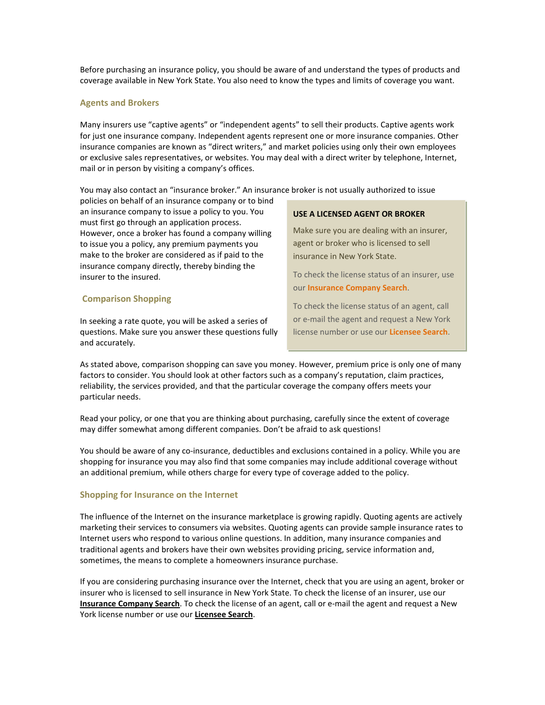Before purchasing an insurance policy, you should be aware of and understand the types of products and coverage available in New York State. You also need to know the types and limits of coverage you want.

#### <span id="page-15-0"></span>**Agents and Brokers**

Many insurers use "captive agents" or "independent agents" to sell their products. Captive agents work for just one insurance company. Independent agents represent one or more insurance companies. Other insurance companies are known as "direct writers," and market policies using only their own employees or exclusive sales representatives, or websites. You may deal with a direct writer by telephone, Internet, mail or in person by visiting a company's offices.

You may also contact an "insurance broker." An insurance broker is not usually authorized to issue

policies on behalf of an insurance company or to bind an insurance company to issue a policy to you. You must first go through an application process. However, once a broker has found a company willing to issue you a policy, any premium payments you make to the broker are considered as if paid to the insurance company directly, thereby binding the insurer to the insured.

### <span id="page-15-1"></span>**Comparison Shopping**

In seeking a rate quote, you will be asked a series of questions. Make sure you answer these questions fully and accurately.

#### **USE A LICENSED AGENT OR BROKER**

Make sure you are dealing with an insurer, agent or broker who is licensed to sell insurance in New York State.

To check the license status of an insurer, use our **Insurance Company Search**.

To check the license status of an agent, call or e-mail the agent and request a New York license number or use our **Licensee Search**.

As stated above, comparison shopping can save you money. However, premium price is only one of many factors to consider. You should look at other factors such as a company's reputation, claim practices, reliability, the services provided, and that the particular coverage the company offers meets your particular needs.

Read your policy, or one that you are thinking about purchasing, carefully since the extent of coverage may differ somewhat among different companies. Don't be afraid to ask questions!

You should be aware of any co-insurance, deductibles and exclusions contained in a policy. While you are shopping for insurance you may also find that some companies may include additional coverage without an additional premium, while others charge for every type of coverage added to the policy.

### <span id="page-15-2"></span>**Shopping for Insurance on the Internet**

The influence of the Internet on the insurance marketplace is growing rapidly. Quoting agents are actively marketing their services to consumers via websites. Quoting agents can provide sample insurance rates to Internet users who respond to various online questions. In addition, many insurance companies and traditional agents and brokers have their own websites providing pricing, service information and, sometimes, the means to complete a homeowners insurance purchase.

If you are considering purchasing insurance over the Internet, check that you are using an agent, broker or insurer who is licensed to sell insurance in New York State. To check the license of an insurer, use our **Insurance Company Search**. To check the license of an agent, call or e-mail the agent and request a New York license number or use our **Licensee Search**.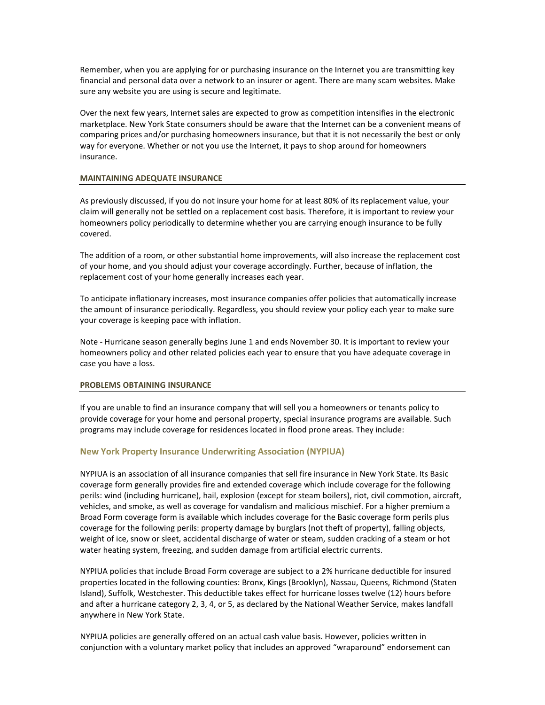Remember, when you are applying for or purchasing insurance on the Internet you are transmitting key financial and personal data over a network to an insurer or agent. There are many scam websites. Make sure any website you are using is secure and legitimate.

Over the next few years, Internet sales are expected to grow as competition intensifies in the electronic marketplace. New York State consumers should be aware that the Internet can be a convenient means of comparing prices and/or purchasing homeowners insurance, but that it is not necessarily the best or only way for everyone. Whether or not you use the Internet, it pays to shop around for homeowners insurance.

#### <span id="page-16-0"></span>**MAINTAINING ADEQUATE INSURANCE**

As previously discussed, if you do not insure your home for at least 80% of its replacement value, your claim will generally not be settled on a replacement cost basis. Therefore, it is important to review your homeowners policy periodically to determine whether you are carrying enough insurance to be fully covered.

The addition of a room, or other substantial home improvements, will also increase the replacement cost of your home, and you should adjust your coverage accordingly. Further, because of inflation, the replacement cost of your home generally increases each year.

To anticipate inflationary increases, most insurance companies offer policies that automatically increase the amount of insurance periodically. Regardless, you should review your policy each year to make sure your coverage is keeping pace with inflation.

Note - Hurricane season generally begins June 1 and ends November 30. It is important to review your homeowners policy and other related policies each year to ensure that you have adequate coverage in case you have a loss.

### <span id="page-16-1"></span>**PROBLEMS OBTAINING INSURANCE**

If you are unable to find an insurance company that will sell you a homeowners or tenants policy to provide coverage for your home and personal property, special insurance programs are available. Such programs may include coverage for residences located in flood prone areas. They include:

### <span id="page-16-2"></span>**New York Property Insurance Underwriting Association (NYPIUA)**

NYPIUA is an association of all insurance companies that sell fire insurance in New York State. Its Basic coverage form generally provides fire and extended coverage which include coverage for the following perils: wind (including hurricane), hail, explosion (except for steam boilers), riot, civil commotion, aircraft, vehicles, and smoke, as well as coverage for vandalism and malicious mischief. For a higher premium a Broad Form coverage form is available which includes coverage for the Basic coverage form perils plus coverage for the following perils: property damage by burglars (not theft of property), falling objects, weight of ice, snow or sleet, accidental discharge of water or steam, sudden cracking of a steam or hot water heating system, freezing, and sudden damage from artificial electric currents.

NYPIUA policies that include Broad Form coverage are subject to a 2% hurricane deductible for insured properties located in the following counties: Bronx, Kings (Brooklyn), Nassau, Queens, Richmond (Staten Island), Suffolk, Westchester. This deductible takes effect for hurricane losses twelve (12) hours before and after a hurricane category 2, 3, 4, or 5, as declared by the National Weather Service, makes landfall anywhere in New York State.

NYPIUA policies are generally offered on an actual cash value basis. However, policies written in conjunction with a voluntary market policy that includes an approved "wraparound" endorsement can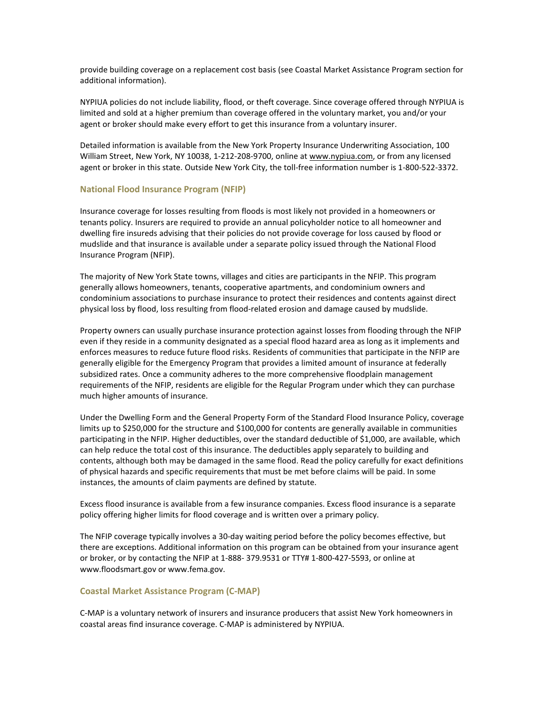provide building coverage on a replacement cost basis (see Coastal Market Assistance Program section for additional information).

NYPIUA policies do not include liability, flood, or theft coverage. Since coverage offered through NYPIUA is limited and sold at a higher premium than coverage offered in the voluntary market, you and/or your agent or broker should make every effort to get this insurance from a voluntary insurer.

Detailed information is available from the New York Property Insurance Underwriting Association, 100 William Street, New York, NY 10038, 1-212-208-9700, online at [www.nypiua.com,](http://nypiua.com/) or from any licensed agent or broker in this state. Outside New York City, the toll-free information number is 1-800-522-3372.

#### <span id="page-17-0"></span>**National Flood Insurance Program (NFIP)**

Insurance coverage for losses resulting from floods is most likely not provided in a homeowners or tenants policy. Insurers are required to provide an annual policyholder notice to all homeowner and dwelling fire insureds advising that their policies do not provide coverage for loss caused by flood or mudslide and that insurance is available under a separate policy issued through the National Flood Insurance Program (NFIP).

The majority of New York State towns, villages and cities are participants in the NFIP. This program generally allows homeowners, tenants, cooperative apartments, and condominium owners and condominium associations to purchase insurance to protect their residences and contents against direct physical loss by flood, loss resulting from flood-related erosion and damage caused by mudslide.

Property owners can usually purchase insurance protection against losses from flooding through the NFIP even if they reside in a community designated as a special flood hazard area as long as it implements and enforces measures to reduce future flood risks. Residents of communities that participate in the NFIP are generally eligible for the Emergency Program that provides a limited amount of insurance at federally subsidized rates. Once a community adheres to the more comprehensive floodplain management requirements of the NFIP, residents are eligible for the Regular Program under which they can purchase much higher amounts of insurance.

Under the Dwelling Form and the General Property Form of the Standard Flood Insurance Policy, coverage limits up to \$250,000 for the structure and \$100,000 for contents are generally available in communities participating in the NFIP. Higher deductibles, over the standard deductible of \$1,000, are available, which can help reduce the total cost of this insurance. The deductibles apply separately to building and contents, although both may be damaged in the same flood. Read the policy carefully for exact definitions of physical hazards and specific requirements that must be met before claims will be paid. In some instances, the amounts of claim payments are defined by statute.

Excess flood insurance is available from a few insurance companies. Excess flood insurance is a separate policy offering higher limits for flood coverage and is written over a primary policy.

The NFIP coverage typically involves a 30-day waiting period before the policy becomes effective, but there are exceptions. Additional information on this program can be obtained from your insurance agent or broker, or by contacting the NFIP at 1-888- 379.9531 or TTY# 1-800-427-5593, or online at www.floodsmart.gov or www.fema.gov.

#### <span id="page-17-1"></span>**Coastal Market Assistance Program (C-MAP)**

C-MAP is a voluntary network of insurers and insurance producers that assist New York homeowners in coastal areas find insurance coverage. C-MAP is administered by NYPIUA.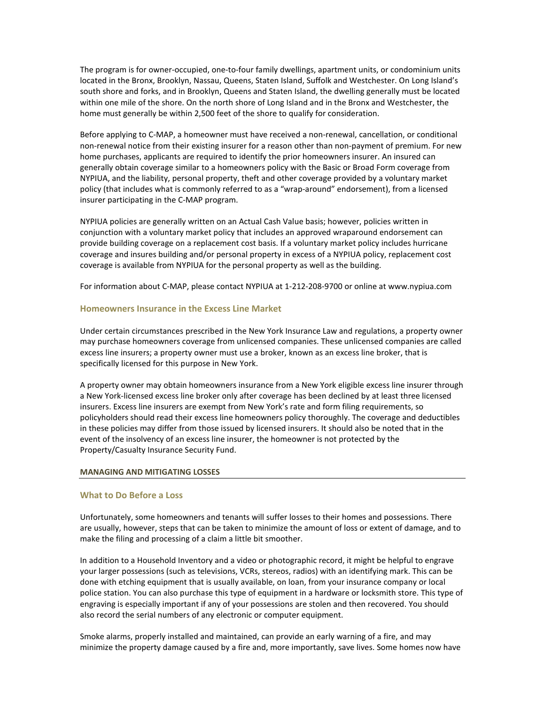The program is for owner-occupied, one-to-four family dwellings, apartment units, or condominium units located in the Bronx, Brooklyn, Nassau, Queens, Staten Island, Suffolk and Westchester. On Long Island's south shore and forks, and in Brooklyn, Queens and Staten Island, the dwelling generally must be located within one mile of the shore. On the north shore of Long Island and in the Bronx and Westchester, the home must generally be within 2,500 feet of the shore to qualify for consideration.

Before applying to C-MAP, a homeowner must have received a non-renewal, cancellation, or conditional non-renewal notice from their existing insurer for a reason other than non-payment of premium. For new home purchases, applicants are required to identify the prior homeowners insurer. An insured can generally obtain coverage similar to a homeowners policy with the Basic or Broad Form coverage from NYPIUA, and the liability, personal property, theft and other coverage provided by a voluntary market policy (that includes what is commonly referred to as a "wrap-around" endorsement), from a licensed insurer participating in the C-MAP program.

NYPIUA policies are generally written on an Actual Cash Value basis; however, policies written in conjunction with a voluntary market policy that includes an approved wraparound endorsement can provide building coverage on a replacement cost basis. If a voluntary market policy includes hurricane coverage and insures building and/or personal property in excess of a NYPIUA policy, replacement cost coverage is available from NYPIUA for the personal property as well as the building.

For information about C-MAP, please contact NYPIUA at 1-212-208-9700 or online at www.nypiua.com

### <span id="page-18-0"></span>**Homeowners Insurance in the Excess Line Market**

Under certain circumstances prescribed in the New York Insurance Law and regulations, a property owner may purchase homeowners coverage from unlicensed companies. These unlicensed companies are called excess line insurers; a property owner must use a broker, known as an excess line broker, that is specifically licensed for this purpose in New York.

A property owner may obtain homeowners insurance from a New York eligible excess line insurer through a New York-licensed excess line broker only after coverage has been declined by at least three licensed insurers. Excess line insurers are exempt from New York's rate and form filing requirements, so policyholders should read their excess line homeowners policy thoroughly. The coverage and deductibles in these policies may differ from those issued by licensed insurers. It should also be noted that in the event of the insolvency of an excess line insurer, the homeowner is not protected by the Property/Casualty Insurance Security Fund.

### <span id="page-18-1"></span>**MANAGING AND MITIGATING LOSSES**

### <span id="page-18-2"></span>**What to Do Before a Loss**

Unfortunately, some homeowners and tenants will suffer losses to their homes and possessions. There are usually, however, steps that can be taken to minimize the amount of loss or extent of damage, and to make the filing and processing of a claim a little bit smoother.

In addition to a Household Inventory and a video or photographic record, it might be helpful to engrave your larger possessions (such as televisions, VCRs, stereos, radios) with an identifying mark. This can be done with etching equipment that is usually available, on loan, from your insurance company or local police station. You can also purchase this type of equipment in a hardware or locksmith store. This type of engraving is especially important if any of your possessions are stolen and then recovered. You should also record the serial numbers of any electronic or computer equipment.

Smoke alarms, properly installed and maintained, can provide an early warning of a fire, and may minimize the property damage caused by a fire and, more importantly, save lives. Some homes now have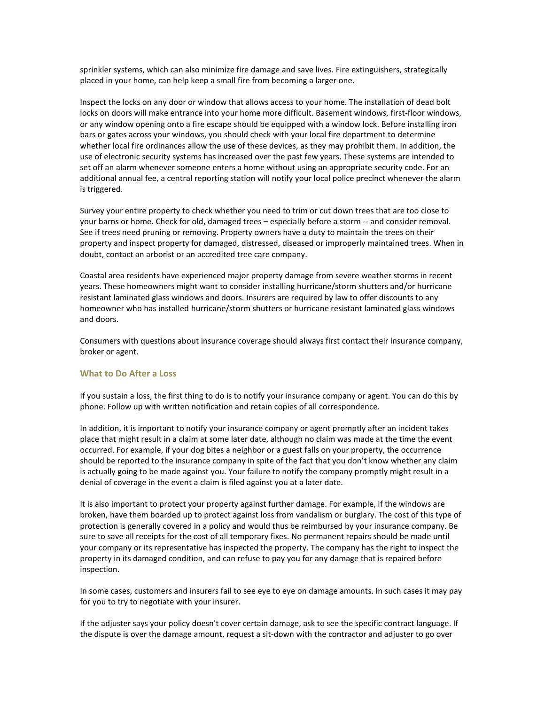sprinkler systems, which can also minimize fire damage and save lives. Fire extinguishers, strategically placed in your home, can help keep a small fire from becoming a larger one.

Inspect the locks on any door or window that allows access to your home. The installation of dead bolt locks on doors will make entrance into your home more difficult. Basement windows, first-floor windows, or any window opening onto a fire escape should be equipped with a window lock. Before installing iron bars or gates across your windows, you should check with your local fire department to determine whether local fire ordinances allow the use of these devices, as they may prohibit them. In addition, the use of electronic security systems has increased over the past few years. These systems are intended to set off an alarm whenever someone enters a home without using an appropriate security code. For an additional annual fee, a central reporting station will notify your local police precinct whenever the alarm is triggered.

Survey your entire property to check whether you need to trim or cut down trees that are too close to your barns or home. Check for old, damaged trees – especially before a storm -- and consider removal. See if trees need pruning or removing. Property owners have a duty to maintain the trees on their property and inspect property for damaged, distressed, diseased or improperly maintained trees. When in doubt, contact an arborist or an accredited tree care company.

Coastal area residents have experienced major property damage from severe weather storms in recent years. These homeowners might want to consider installing hurricane/storm shutters and/or hurricane resistant laminated glass windows and doors. Insurers are required by law to offer discounts to any homeowner who has installed hurricane/storm shutters or hurricane resistant laminated glass windows and doors.

Consumers with questions about insurance coverage should always first contact their insurance company, broker or agent.

#### <span id="page-19-0"></span>**What to Do After a Loss**

If you sustain a loss, the first thing to do is to notify your insurance company or agent. You can do this by phone. Follow up with written notification and retain copies of all correspondence.

In addition, it is important to notify your insurance company or agent promptly after an incident takes place that might result in a claim at some later date, although no claim was made at the time the event occurred. For example, if your dog bites a neighbor or a guest falls on your property, the occurrence should be reported to the insurance company in spite of the fact that you don't know whether any claim is actually going to be made against you. Your failure to notify the company promptly might result in a denial of coverage in the event a claim is filed against you at a later date.

It is also important to protect your property against further damage. For example, if the windows are broken, have them boarded up to protect against loss from vandalism or burglary. The cost of this type of protection is generally covered in a policy and would thus be reimbursed by your insurance company. Be sure to save all receipts for the cost of all temporary fixes. No permanent repairs should be made until your company or its representative has inspected the property. The company has the right to inspect the property in its damaged condition, and can refuse to pay you for any damage that is repaired before inspection.

In some cases, customers and insurers fail to see eye to eye on damage amounts. In such cases it may pay for you to try to negotiate with your insurer.

If the adjuster says your policy doesn't cover certain damage, ask to see the specific contract language. If the dispute is over the damage amount, request a sit-down with the contractor and adjuster to go over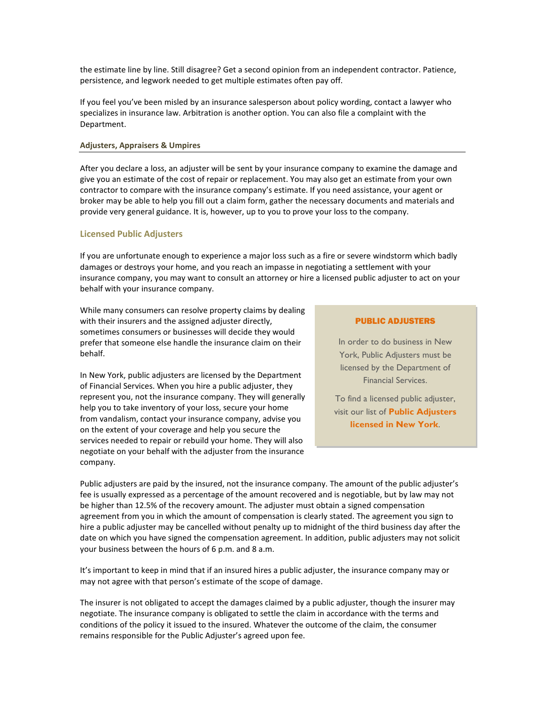the estimate line by line. Still disagree? Get a second opinion from an independent contractor. Patience, persistence, and legwork needed to get multiple estimates often pay off.

If you feel you've been misled by an insurance salesperson about policy wording, contact a lawyer who specializes in insurance law. Arbitration is another option. You can also file a complaint with the Department.

### <span id="page-20-0"></span>**Adjusters, Appraisers & Umpires**

After you declare a loss, an adjuster will be sent by your insurance company to examine the damage and give you an estimate of the cost of repair or replacement. You may also get an estimate from your own contractor to compare with the insurance company's estimate. If you need assistance, your agent or broker may be able to help you fill out a claim form, gather the necessary documents and materials and provide very general guidance. It is, however, up to you to prove your loss to the company.

#### <span id="page-20-1"></span>**Licensed Public Adjusters**

If you are unfortunate enough to experience a major loss such as a fire or severe windstorm which badly damages or destroys your home, and you reach an impasse in negotiating a settlement with your insurance company, you may want to consult an attorney or hire a licensed public adjuster to act on your behalf with your insurance company.

While many consumers can resolve property claims by dealing with their insurers and the assigned adjuster directly, sometimes consumers or businesses will decide they would prefer that someone else handle the insurance claim on their behalf.

In New York, public adjusters are licensed by the Department of Financial Services. When you hire a public adjuster, they represent you, not the insurance company. They will generally help you to take inventory of your loss, secure your home from vandalism, contact your insurance company, advise you on the extent of your coverage and help you secure the services needed to repair or rebuild your home. They will also negotiate on your behalf with the adjuster from the insurance company.

#### PUBLIC ADJUSTERS

In order to do business in New York, Public Adjusters must be licensed by the Department of Financial Services.

To find a licensed public adjuster, visit our list of **Public Adjusters licensed in New York**.

Public adjusters are paid by the insured, not the insurance company. The amount of the public adjuster's fee is usually expressed as a percentage of the amount recovered and is negotiable, but by law may not be higher than 12.5% of the recovery amount. The adjuster must obtain a signed compensation agreement from you in which the amount of compensation is clearly stated. The agreement you sign to hire a public adjuster may be cancelled without penalty up to midnight of the third business day after the date on which you have signed the compensation agreement. In addition, public adjusters may not solicit your business between the hours of 6 p.m. and 8 a.m.

It's important to keep in mind that if an insured hires a public adjuster, the insurance company may or may not agree with that person's estimate of the scope of damage.

The insurer is not obligated to accept the damages claimed by a public adjuster, though the insurer may negotiate. The insurance company is obligated to settle the claim in accordance with the terms and conditions of the policy it issued to the insured. Whatever the outcome of the claim, the consumer remains responsible for the Public Adjuster's agreed upon fee.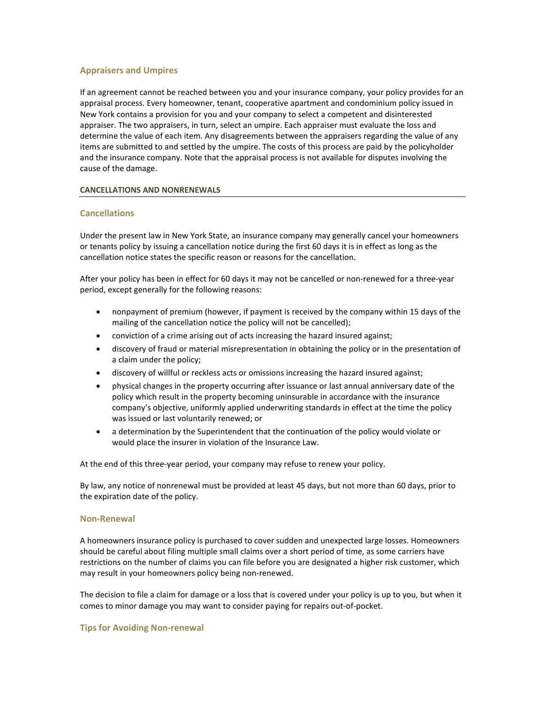### <span id="page-21-0"></span>**Appraisers and Umpires**

If an agreement cannot be reached between you and your insurance company, your policy provides for an appraisal process. Every homeowner, tenant, cooperative apartment and condominium policy issued in New York contains a provision for you and your company to select a competent and disinterested appraiser. The two appraisers, in turn, select an umpire. Each appraiser must evaluate the loss and determine the value of each item. Any disagreements between the appraisers regarding the value of any items are submitted to and settled by the umpire. The costs of this process are paid by the policyholder and the insurance company. Note that the appraisal process is not available for disputes involving the cause of the damage.

### <span id="page-21-1"></span>**CANCELLATIONS AND NONRENEWALS**

### <span id="page-21-2"></span>**Cancellations**

Under the present law in New York State, an insurance company may generally cancel your homeowners or tenants policy by issuing a cancellation notice during the first 60 days it is in effect as long as the cancellation notice states the specific reason or reasons for the cancellation.

After your policy has been in effect for 60 days it may not be cancelled or non-renewed for a three-year period, except generally for the following reasons:

- nonpayment of premium (however, if payment is received by the company within 15 days of the mailing of the cancellation notice the policy will not be cancelled);
- conviction of a crime arising out of acts increasing the hazard insured against;
- discovery of fraud or material misrepresentation in obtaining the policy or in the presentation of a claim under the policy;
- discovery of willful or reckless acts or omissions increasing the hazard insured against;
- physical changes in the property occurring after issuance or last annual anniversary date of the policy which result in the property becoming uninsurable in accordance with the insurance company's objective, uniformly applied underwriting standards in effect at the time the policy was issued or last voluntarily renewed; or
- a determination by the Superintendent that the continuation of the policy would violate or would place the insurer in violation of the Insurance Law.

At the end of this three-year period, your company may refuse to renew your policy.

By law, any notice of nonrenewal must be provided at least 45 days, but not more than 60 days, prior to the expiration date of the policy.

### <span id="page-21-3"></span>**Non-Renewal**

A homeowners insurance policy is purchased to cover sudden and unexpected large losses. Homeowners should be careful about filing multiple small claims over a short period of time, as some carriers have restrictions on the number of claims you can file before you are designated a higher risk customer, which may result in your homeowners policy being non-renewed.

The decision to file a claim for damage or a loss that is covered under your policy is up to you, but when it comes to minor damage you may want to consider paying for repairs out-of-pocket.

### <span id="page-21-4"></span>**Tips for Avoiding Non-renewal**